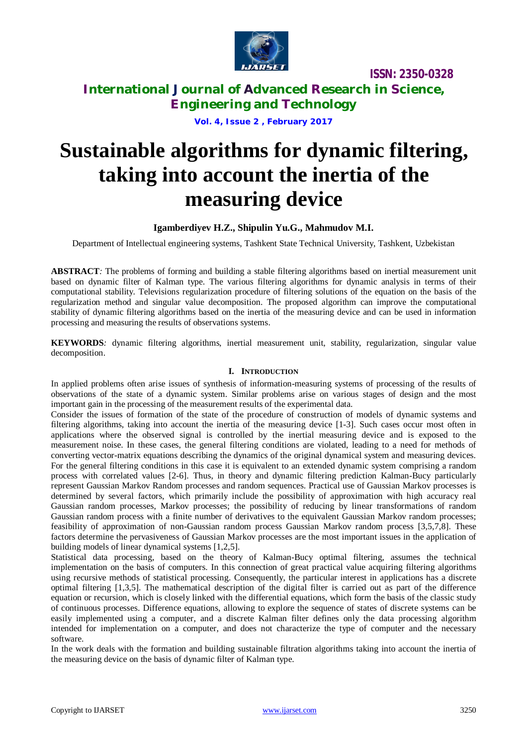

**ISSN: 2350-0328**

**International Journal of Advanced Research in Science, Engineering and Technology**

**Vol. 4, Issue 2 , February 2017**

# **Sustainable algorithms for dynamic filtering, taking into account the inertia of the measuring device**

### **Igamberdiyev H.Z., Shipulin Yu.G., Mahmudov M.I.**

Department of Intellectual engineering systems, Tashkent State Technical University, Tashkent, Uzbekistan

**ABSTRACT***:* The problems of forming and building a stable filtering algorithms based on inertial measurement unit based on dynamic filter of Kalman type. The various filtering algorithms for dynamic analysis in terms of their computational stability. Televisions regularization procedure of filtering solutions of the equation on the basis of the regularization method and singular value decomposition. The proposed algorithm can improve the computational stability of dynamic filtering algorithms based on the inertia of the measuring device and can be used in information processing and measuring the results of observations systems.

**KEYWORDS***:* dynamic filtering algorithms, inertial measurement unit, stability, regularization, singular value decomposition.

### **I. INTRODUCTION**

In applied problems often arise issues of synthesis of information-measuring systems of processing of the results of observations of the state of a dynamic system. Similar problems arise on various stages of design and the most important gain in the processing of the measurement results of the experimental data.

Consider the issues of formation of the state of the procedure of construction of models of dynamic systems and filtering algorithms, taking into account the inertia of the measuring device [1-3]. Such cases occur most often in applications where the observed signal is controlled by the inertial measuring device and is exposed to the measurement noise. In these cases, the general filtering conditions are violated, leading to a need for methods of converting vector-matrix equations describing the dynamics of the original dynamical system and measuring devices. For the general filtering conditions in this case it is equivalent to an extended dynamic system comprising a random process with correlated values [2-6]. Thus, in theory and dynamic filtering prediction Kalman-Bucy particularly represent Gaussian Markov Random processes and random sequences. Practical use of Gaussian Markov processes is determined by several factors, which primarily include the possibility of approximation with high accuracy real Gaussian random processes, Markov processes; the possibility of reducing by linear transformations of random Gaussian random process with a finite number of derivatives to the equivalent Gaussian Markov random processes; feasibility of approximation of non-Gaussian random process Gaussian Markov random process [3,5,7,8]. These factors determine the pervasiveness of Gaussian Markov processes are the most important issues in the application of building models of linear dynamical systems [1,2,5].

Statistical data processing, based on the theory of Kalman-Bucy optimal filtering, assumes the technical implementation on the basis of computers. In this connection of great practical value acquiring filtering algorithms using recursive methods of statistical processing. Consequently, the particular interest in applications has a discrete optimal filtering [1,3,5]. The mathematical description of the digital filter is carried out as part of the difference equation or recursion, which is closely linked with the differential equations, which form the basis of the classic study of continuous processes. Difference equations, allowing to explore the sequence of states of discrete systems can be easily implemented using a computer, and a discrete Kalman filter defines only the data processing algorithm intended for implementation on a computer, and does not characterize the type of computer and the necessary software.

In the work deals with the formation and building sustainable filtration algorithms taking into account the inertia of the measuring device on the basis of dynamic filter of Kalman type.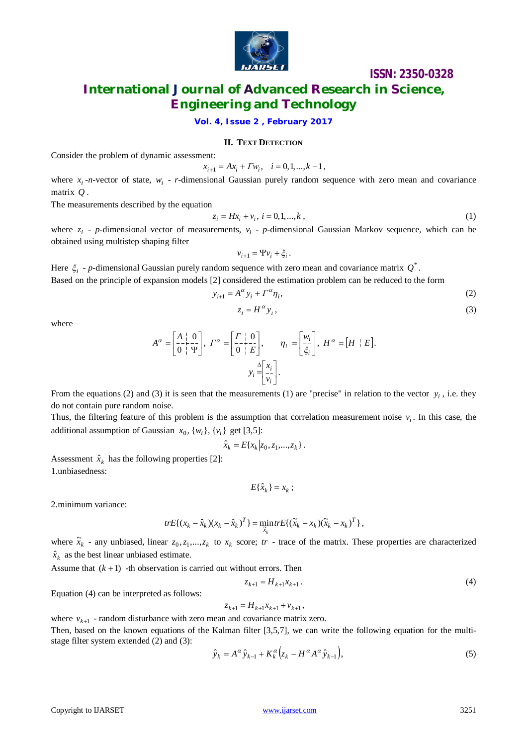

### **ISSN: 2350-0328**

### **International Journal of Advanced Research in Science, Engineering and Technology**

**Vol. 4, Issue 2 , February 2017**

### **II. TEXT DETECTION**

Consider the problem of dynamic assessment:

$$
x_{i+1} = Ax_i + Tw_i, \quad i = 0, 1, ..., k - 1,
$$

where  $x_i$ -*n*-vector of state,  $w_i$  - *r*-dimensional Gaussian purely random sequence with zero mean and covariance matrix *Q* .

The measurements described by the equation

$$
z_i = Hx_i + v_i, \ i = 0, 1, \dots, k \tag{1}
$$

where  $z_i$  - *p*-dimensional vector of measurements,  $v_i$  - *p*-dimensional Gaussian Markov sequence, which can be obtained using multistep shaping filter

$$
v_{i+1} = \Psi v_i + \xi_i.
$$

Here  $\xi_i$  - *p*-dimensional Gaussian purely random sequence with zero mean and covariance matrix  $Q^*$ . Based on the principle of expansion models [2] considered the estimation problem can be reduced to the form

$$
y_{i+1} = A^{\alpha} y_i + \Gamma^{\alpha} \eta_i, \tag{2}
$$

$$
z_i = H^{\alpha} y_i, \tag{3}
$$

where

$$
A^{\alpha} = \left[\frac{A}{0} + \frac{0}{\Psi}\right], \ \Gamma^{\alpha} = \left[\frac{\Gamma + 0}{0 + E}\right], \qquad \eta_{i} = \left[\frac{w_{i}}{\xi_{i}}\right], \ H^{\alpha} = [H + E].
$$

$$
y_{i} = \left[\frac{x_{i}}{v_{i}}\right].
$$

From the equations (2) and (3) it is seen that the measurements (1) are "precise" in relation to the vector  $y_i$ , i.e. they do not contain pure random noise.

Thus, the filtering feature of this problem is the assumption that correlation measurement noise  $v_i$ . In this case, the additional assumption of Gaussian  $x_0$ ,  $\{w_i\}$ ,  $\{v_i\}$  get [3,5]:

$$
\hat{x}_k = E\{x_k | z_0, z_1, \dots, z_k\}.
$$

Assessment  $\hat{x}_k$  has the following properties [2]: 1.unbiasedness:

$$
E\{\hat{x}_k\} = x_k \ ;
$$

2.minimum variance:

$$
trE\{(x_k-\hat{x}_k)(x_k-\hat{x}_k)^T\}=\min_{\widetilde{x}_k}trE\{(\widetilde{x}_k-x_k)(\widetilde{x}_k-x_k)^T\},\,
$$

where  $\tilde{x}_k$  - any unbiased, linear  $z_0, z_1,...,z_k$  to  $x_k$  score; *tr* - trace of the matrix. These properties are characterized  $\hat{x}_k$  as the best linear unbiased estimate.

Assume that  $(k + 1)$  -th observation is carried out without errors. Then

$$
z_{k+1} = H_{k+1} x_{k+1} \,. \tag{4}
$$

Equation (4) can be interpreted as follows:

$$
z_{k+1} = H_{k+1} x_{k+1} + v_{k+1} \,,
$$

where  $v_{k+1}$  - random disturbance with zero mean and covariance matrix zero.

Then, based on the known equations of the Kalman filter [3,5,7], we can write the following equation for the multistage filter system extended (2) and (3):

$$
\hat{y}_k = A^\alpha \hat{y}_{k-1} + K_k^\alpha \left( z_k - H^\alpha A^\alpha \hat{y}_{k-1} \right),\tag{5}
$$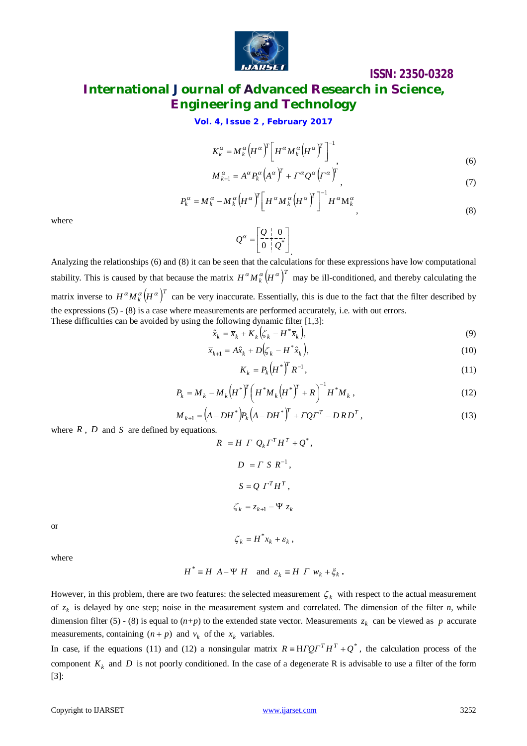

# **ISSN: 2350-0328 International Journal of Advanced Research in Science,**

# **Engineering and Technology**

**Vol. 4, Issue 2 , February 2017**

$$
K_{k}^{\alpha} = M_{k}^{\alpha} \left( H^{\alpha} \right)^{T} \left[ H^{\alpha} M_{k}^{\alpha} \left( H^{\alpha} \right)^{T} \right]^{-1},
$$
\n
$$
K_{k}^{\alpha} = M_{k}^{\alpha} \left( H^{\alpha} \right)^{T} \left[ H^{\alpha} M_{k}^{\alpha} \left( H^{\alpha} \right)^{T} \right],
$$
\n(6)

$$
M_{k+1}^{\alpha} = A^{\alpha} P_k^{\alpha} (A^{\alpha})^{\alpha} + \Gamma^{\alpha} Q^{\alpha} (\Gamma^{\alpha})^{\alpha}
$$

$$
P_k^{\alpha} = M_k^{\alpha} - M_k^{\alpha} \left( H^{\alpha} \right)^T \left[ H^{\alpha} M_k^{\alpha} \left( H^{\alpha} \right)^T \right]^{-1} H^{\alpha} M_k^{\alpha}, \tag{8}
$$

where

$$
Q^{\alpha} = \left[\begin{array}{c|c} Q & 0 \\ \hline 0 & Q^* \end{array}\right]
$$

Analyzing the relationships (6) and (8) it can be seen that the calculations for these expressions have low computational stability. This is caused by that because the matrix  $H^{\alpha}M^{\alpha}_k(H^{\alpha})^T$  may be ill-conditioned, and thereby calculating the matrix inverse to  $H^{\alpha}M_{k}^{\alpha}(H^{\alpha})^{T}$  can be very inaccurate. Essentially, this is due to the fact that the filter described by the expressions (5) - (8) is a case where measurements are performed accurately, i.e. with out errors. These difficulties can be avoided by using the following dynamic filter [1,3]:

$$
\hat{x}_k = \overline{x}_k + K_k \Big( \zeta_k - H^* \overline{x}_k \Big),\tag{9}
$$

$$
\overline{x}_{k+1} = A\hat{x}_k + D(\zeta_k - H^*\hat{x}_k),\tag{10}
$$

$$
K_k = P_k \left( H^* \right)^T R^{-1}, \tag{11}
$$

$$
P_k = M_k - M_k \left( H^* \right)^T \left( H^* M_k \left( H^* \right)^T + R \right)^{-1} H^* M_k , \qquad (12)
$$

$$
M_{k+1} = (A - DH^*)P_k(A - DH^*)^T + TQT^T - DRD^T,
$$
\n(13)

where *R* , *D* and *S* are defined by equations.

$$
R = H \tGamma \t Q_k \tGamma^T H^T + Q^*,
$$
  
\n
$$
D = \tGamma \t S \t R^{-1},
$$
  
\n
$$
S = Q \tGamma^T H^T,
$$
  
\n
$$
\zeta_k = z_{k+1} - \Psi \t z_k
$$
  
\n
$$
\zeta_k = H^* x_k + \varepsilon_k,
$$

or

where

$$
H^* \equiv H \ A - \Psi \ H \quad \text{and} \ \varepsilon_k \equiv H \ \Gamma \ w_k + \xi_k \ .
$$

However, in this problem, there are two features: the selected measurement  $\zeta_k$  with respect to the actual measurement of  $z_k$  is delayed by one step; noise in the measurement system and correlated. The dimension of the filter *n*, while dimension filter (5) - (8) is equal to  $(n+p)$  to the extended state vector. Measurements  $z_k$  can be viewed as p accurate measurements, containing  $(n + p)$  and  $v_k$  of the  $x_k$  variables.

In case, if the equations (11) and (12) a nonsingular matrix  $R = H \Gamma Q \Gamma^T H^T + Q^*$ , the calculation process of the component  $K_k$  and D is not poorly conditioned. In the case of a degenerate R is advisable to use a filter of the form [3]: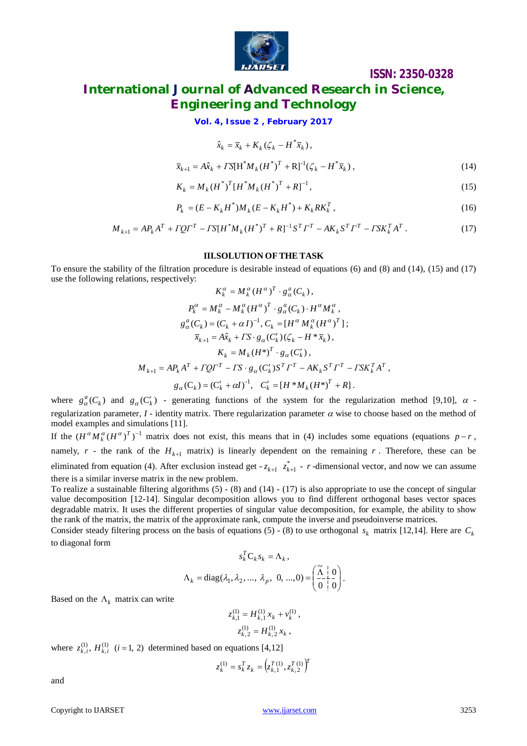

**ISSN: 2350-0328**

# **International Journal of Advanced Research in Science, Engineering and Technology**

**Vol. 4, Issue 2 , February 2017**

$$
\hat{x}_k = \overline{x}_k + K_k (\zeta_k - H^* \overline{x}_k),
$$

$$
\overline{x}_{k+1} = A\hat{x}_k + \Gamma S[H^* M_k (H^*)^T + R]^{-1} (\zeta_k - H^* \overline{x}_k), \qquad (14)
$$

$$
K_k = M_k (H^*)^T [H^* M_k (H^*)^T + R]^{-1},
$$
\n(15)

$$
P_k = (E - K_k H^*) M_k (E - K_k H^*) + K_k R K_k^T,
$$
\n(16)

$$
M_{k+1} = AP_k A^T + TQ\Gamma^T - TS[H^*M_k(H^*)^T + R]^{-1}S^T\Gamma^T - AK_kS^T\Gamma^T - TSK_k^T A^T.
$$
 (17)

### **III.SOLUTION OF THE TASK**

To ensure the stability of the filtration procedure is desirable instead of equations (6) and (8) and (14), (15) and (17) use the following relations, respectively:

$$
K_{k}^{\alpha} = M_{k}^{\alpha} (H^{\alpha})^{T} \cdot g_{\alpha}^{\alpha} (C_{k}),
$$
  
\n
$$
P_{k}^{\alpha} = M_{k}^{\alpha} - M_{k}^{\alpha} (H^{\alpha})^{T} \cdot g_{\alpha}^{\alpha} (C_{k}) \cdot H^{\alpha} M_{k}^{\alpha},
$$
  
\n
$$
g_{\alpha}^{\alpha} (C_{k}) = (C_{k} + \alpha I)^{-1}, C_{k} = [H^{\alpha} M_{k}^{\alpha} (H^{\alpha})^{T}];
$$
  
\n
$$
\overline{x}_{k+1} = A \hat{x}_{k} + I S \cdot g_{\alpha} (C_{k}^{\prime}) (\zeta_{k} - H^{*} \overline{x}_{k}),
$$
  
\n
$$
K_{k} = M_{k} (H^{*})^{T} \cdot g_{\alpha} (C_{k}^{\prime}),
$$
  
\n
$$
M_{k+1} = A P_{k} A^{T} + I Q I^{T} - I S \cdot g_{\alpha} (C_{k}^{\prime}) S^{T} I^{T} - A K_{k} S^{T} I^{T} - I S K_{k}^{T} A^{T},
$$
  
\n
$$
g_{\alpha} (C_{k}) = (C_{k}^{\prime} + \alpha I)^{-1}, C_{k}^{\prime} = [H^{*} M_{k} (H^{*})^{T} + R].
$$

where  $g_{\alpha}^{a}(C_{k})$  and  $g_{\alpha}(C_{k}')$  - generating functions of the system for the regularization method [9,10],  $\alpha$  regularization parameter,  $I$  - identity matrix. There regularization parameter  $\alpha$  wise to choose based on the method of model examples and simulations [11].

If the  $(H^{\alpha}M_k^{\alpha}(H^{\alpha})^T)^{-1}$  matrix does not exist, this means that in (4) includes some equations (equations  $p-r$ , namely,  $r$  - the rank of the  $H_{k+1}$  matrix) is linearly dependent on the remaining  $r$ . Therefore, these can be eliminated from equation (4). After exclusion instead get  $-z_{k+1}$   $z_{k+1}^*$  - *r* -dimensional vector, and now we can assume there is a similar inverse matrix in the new problem.

To realize a sustainable filtering algorithms (5) - (8) and (14) - (17) is also appropriate to use the concept of singular value decomposition [12-14]. Singular decomposition allows you to find different orthogonal bases vector spaces degradable matrix. It uses the different properties of singular value decomposition, for example, the ability to show the rank of the matrix, the matrix of the approximate rank, compute the inverse and pseudoinverse matrices.

Consider steady filtering process on the basis of equations (5) - (8) to use orthogonal  $s_k$  matrix [12,14]. Here are  $C_k$ to diagonal form

$$
s_k^T \mathbf{C}_k s_k = \Lambda_k,
$$
  

$$
\Lambda_k = \text{diag}(\lambda_1, \lambda_2, ..., \lambda_p, 0, ..., 0) = \left(\frac{\tilde{\Lambda} + 0}{0 + 0}\right).
$$

Based on the  $\Lambda_k$  matrix can write

$$
z_{k,1}^{(1)} = H_{k,1}^{(1)} x_k + v_k^{(1)},
$$
  

$$
z_{k,2}^{(1)} = H_{k,2}^{(1)} x_k,
$$

where  $z_{k,i}^{(1)}$ ,  $H_{k,i}^{(1)}$   $(i = 1, 2)$  determined based on equations [4,12]

$$
z_k^{(1)} = s_k^T z_k = \left(z_{k,1}^{T(1)}, z_{k,2}^{T(1)}\right)^T
$$

and